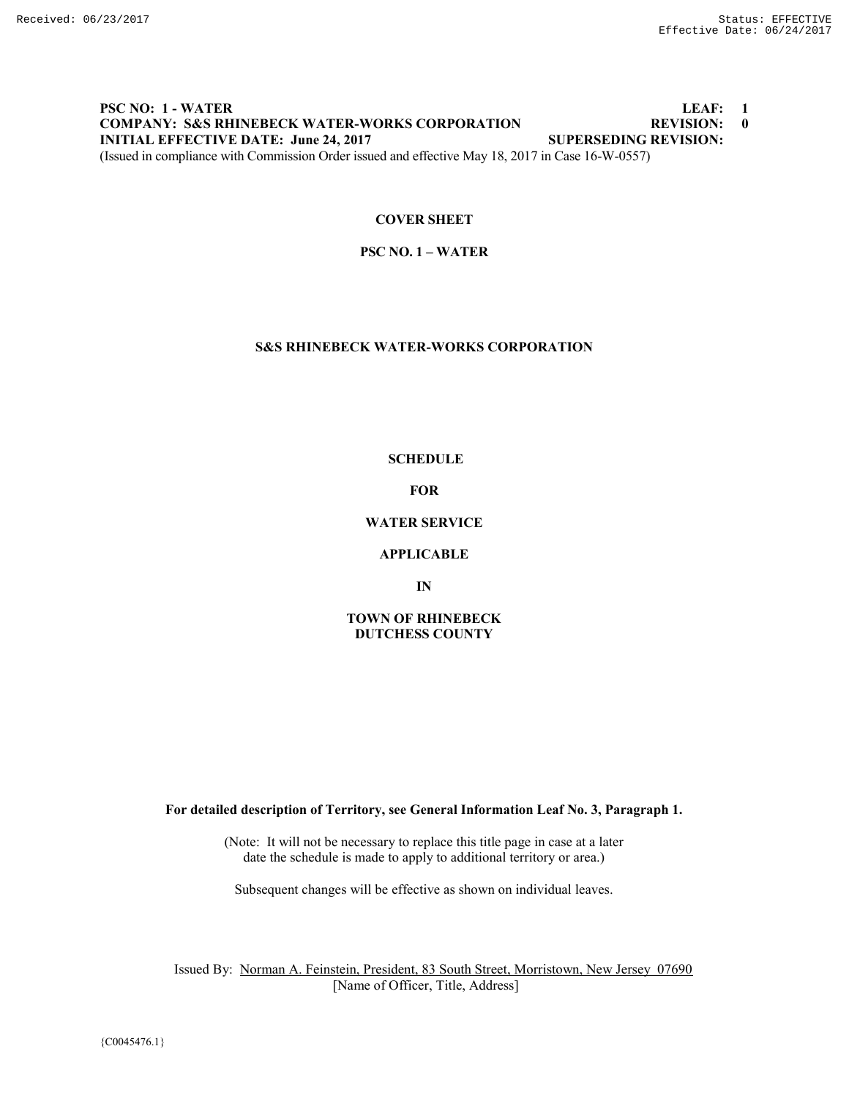# **PSC NO: 1 - WATER LEAF: 1 COMPANY: S&S RHINEBECK WATER-WORKS CORPORATION REVISION: 0 INITIAL EFFECTIVE DATE: June 24, 2017 SUPERSEDING REVISION:** (Issued in compliance with Commission Order issued and effective May 18, 2017 in Case 16-W-0557)

# **COVER SHEET**

**PSC NO. 1 – WATER**

# **S&S RHINEBECK WATER-WORKS CORPORATION**

**SCHEDULE**

**FOR**

**WATER SERVICE**

**APPLICABLE**

**IN**

# **TOWN OF RHINEBECK DUTCHESS COUNTY**

**For detailed description of Territory, see General Information Leaf No. 3, Paragraph 1.**

(Note: It will not be necessary to replace this title page in case at a later date the schedule is made to apply to additional territory or area.)

Subsequent changes will be effective as shown on individual leaves.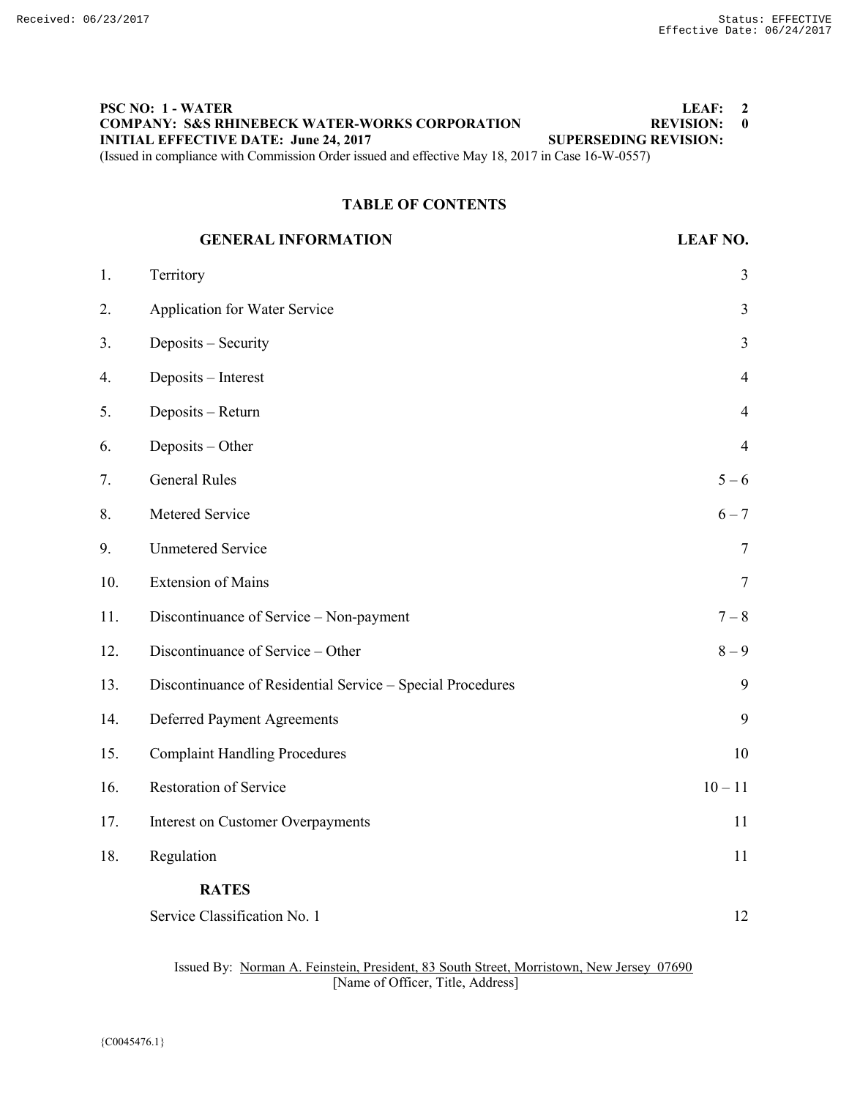# **PSC NO: 1 - WATER LEAF: 2 COMPANY: S&S RHINEBECK WATER-WORKS CORPORATION REVISION: 0 INITIAL EFFECTIVE DATE: June 24, 2017 SUPERSEDING REVISION:** (Issued in compliance with Commission Order issued and effective May 18, 2017 in Case 16-W-0557)

# **TABLE OF CONTENTS**

# **GENERAL INFORMATION LEAF NO.** 1. Territory 3

| 2.  | Application for Water Service                              | $\mathfrak{Z}$ |
|-----|------------------------------------------------------------|----------------|
| 3.  | Deposits - Security                                        | $\overline{3}$ |
| 4.  | Deposits - Interest                                        | $\overline{4}$ |
| 5.  | Deposits - Return                                          | $\overline{4}$ |
| 6.  | Deposits - Other                                           | $\overline{4}$ |
| 7.  | <b>General Rules</b>                                       | $5 - 6$        |
| 8.  | Metered Service                                            | $6 - 7$        |
| 9.  | <b>Unmetered Service</b>                                   | $\tau$         |
| 10. | <b>Extension of Mains</b>                                  | $\tau$         |
| 11. | Discontinuance of Service - Non-payment                    | $7-8$          |
| 12. | Discontinuance of Service - Other                          | $8-9$          |
| 13. | Discontinuance of Residential Service - Special Procedures | 9              |
| 14. | <b>Deferred Payment Agreements</b>                         | 9              |
| 15. | <b>Complaint Handling Procedures</b>                       | 10             |
| 16. | Restoration of Service                                     | $10 - 11$      |
| 17. | Interest on Customer Overpayments                          | 11             |
| 18. | Regulation                                                 | 11             |
|     | <b>RATES</b>                                               |                |
|     | Service Classification No. 1                               | 12             |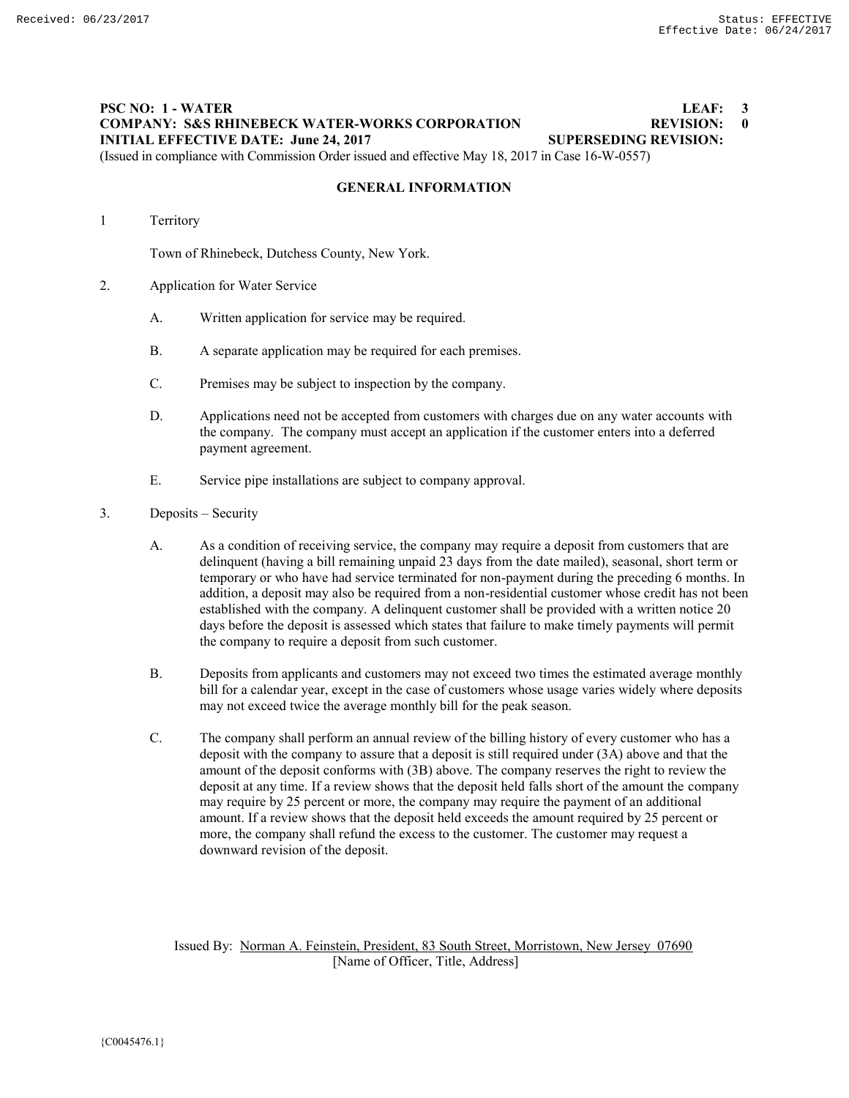# **PSC NO: 1 - WATER LEAF: 3 COMPANY: S&S RHINEBECK WATER-WORKS CORPORATION REVISION: 0<br>
INITIAL EFFECTIVE DATE: June 24, 2017 SUPERSEDING REVISION: INITIAL EFFECTIVE DATE: June 24, 2017**

(Issued in compliance with Commission Order issued and effective May 18, 2017 in Case 16-W-0557)

# **GENERAL INFORMATION**

1 Territory

Town of Rhinebeck, Dutchess County, New York.

- 2. Application for Water Service
	- A. Written application for service may be required.
	- B. A separate application may be required for each premises.
	- C. Premises may be subject to inspection by the company.
	- D. Applications need not be accepted from customers with charges due on any water accounts with the company. The company must accept an application if the customer enters into a deferred payment agreement.
	- E. Service pipe installations are subject to company approval.
- 3. Deposits Security
	- A. As a condition of receiving service, the company may require a deposit from customers that are delinquent (having a bill remaining unpaid 23 days from the date mailed), seasonal, short term or temporary or who have had service terminated for non-payment during the preceding 6 months. In addition, a deposit may also be required from a non-residential customer whose credit has not been established with the company. A delinquent customer shall be provided with a written notice 20 days before the deposit is assessed which states that failure to make timely payments will permit the company to require a deposit from such customer.
	- B. Deposits from applicants and customers may not exceed two times the estimated average monthly bill for a calendar year, except in the case of customers whose usage varies widely where deposits may not exceed twice the average monthly bill for the peak season.
	- C. The company shall perform an annual review of the billing history of every customer who has a deposit with the company to assure that a deposit is still required under (3A) above and that the amount of the deposit conforms with (3B) above. The company reserves the right to review the deposit at any time. If a review shows that the deposit held falls short of the amount the company may require by 25 percent or more, the company may require the payment of an additional amount. If a review shows that the deposit held exceeds the amount required by 25 percent or more, the company shall refund the excess to the customer. The customer may request a downward revision of the deposit.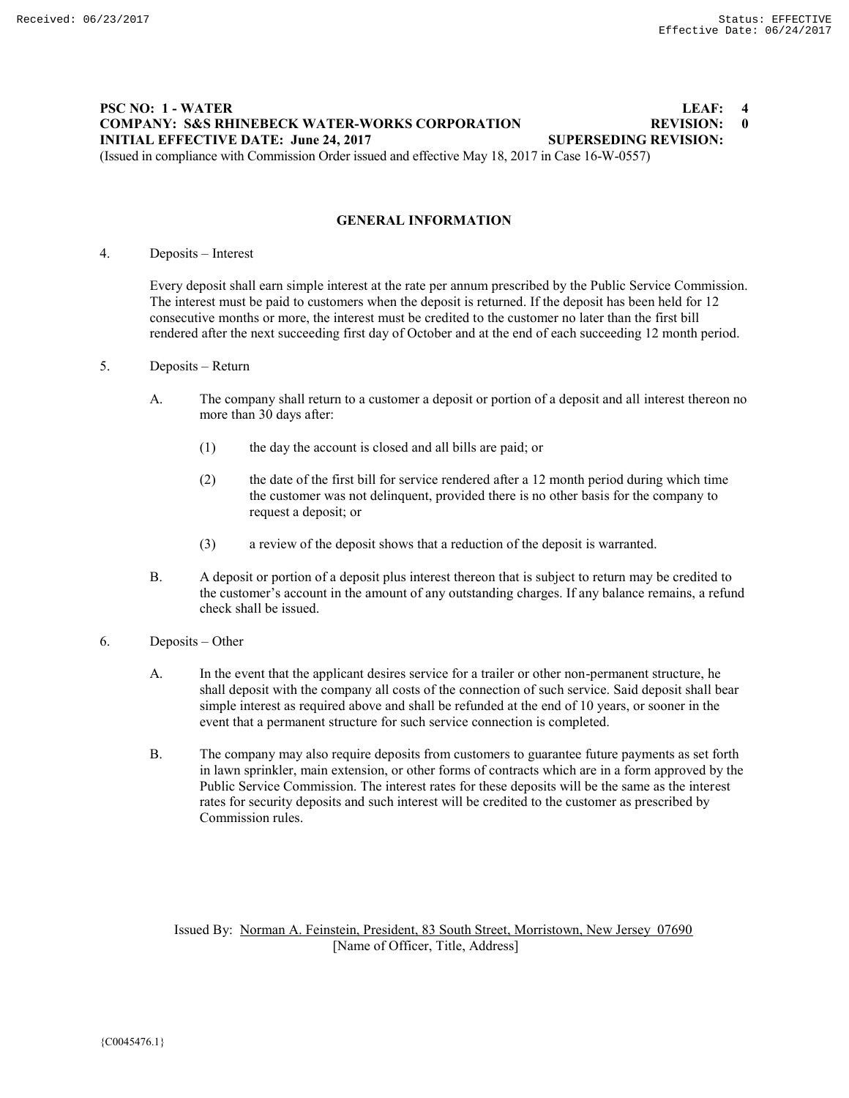## **PSC NO: 1 - WATER LEAF: 4 COMPANY: S&S RHINEBECK WATER-WORKS CORPORATION BEVISION: 0**<br> **INITIAL EFFECTIVE DATE: June 24, 2017 SUPERSEDING REVISION: INITIAL EFFECTIVE DATE: June 24, 2017** (Issued in compliance with Commission Order issued and effective May 18, 2017 in Case 16-W-0557)

**GENERAL INFORMATION**

4. Deposits – Interest

Every deposit shall earn simple interest at the rate per annum prescribed by the Public Service Commission. The interest must be paid to customers when the deposit is returned. If the deposit has been held for 12 consecutive months or more, the interest must be credited to the customer no later than the first bill rendered after the next succeeding first day of October and at the end of each succeeding 12 month period.

- 5. Deposits Return
	- A. The company shall return to a customer a deposit or portion of a deposit and all interest thereon no more than 30 days after:
		- (1) the day the account is closed and all bills are paid; or
		- (2) the date of the first bill for service rendered after a 12 month period during which time the customer was not delinquent, provided there is no other basis for the company to request a deposit; or
		- (3) a review of the deposit shows that a reduction of the deposit is warranted.
	- B. A deposit or portion of a deposit plus interest thereon that is subject to return may be credited to the customer's account in the amount of any outstanding charges. If any balance remains, a refund check shall be issued.
- 6. Deposits Other
	- A. In the event that the applicant desires service for a trailer or other non-permanent structure, he shall deposit with the company all costs of the connection of such service. Said deposit shall bear simple interest as required above and shall be refunded at the end of 10 years, or sooner in the event that a permanent structure for such service connection is completed.
	- B. The company may also require deposits from customers to guarantee future payments as set forth in lawn sprinkler, main extension, or other forms of contracts which are in a form approved by the Public Service Commission. The interest rates for these deposits will be the same as the interest rates for security deposits and such interest will be credited to the customer as prescribed by Commission rules.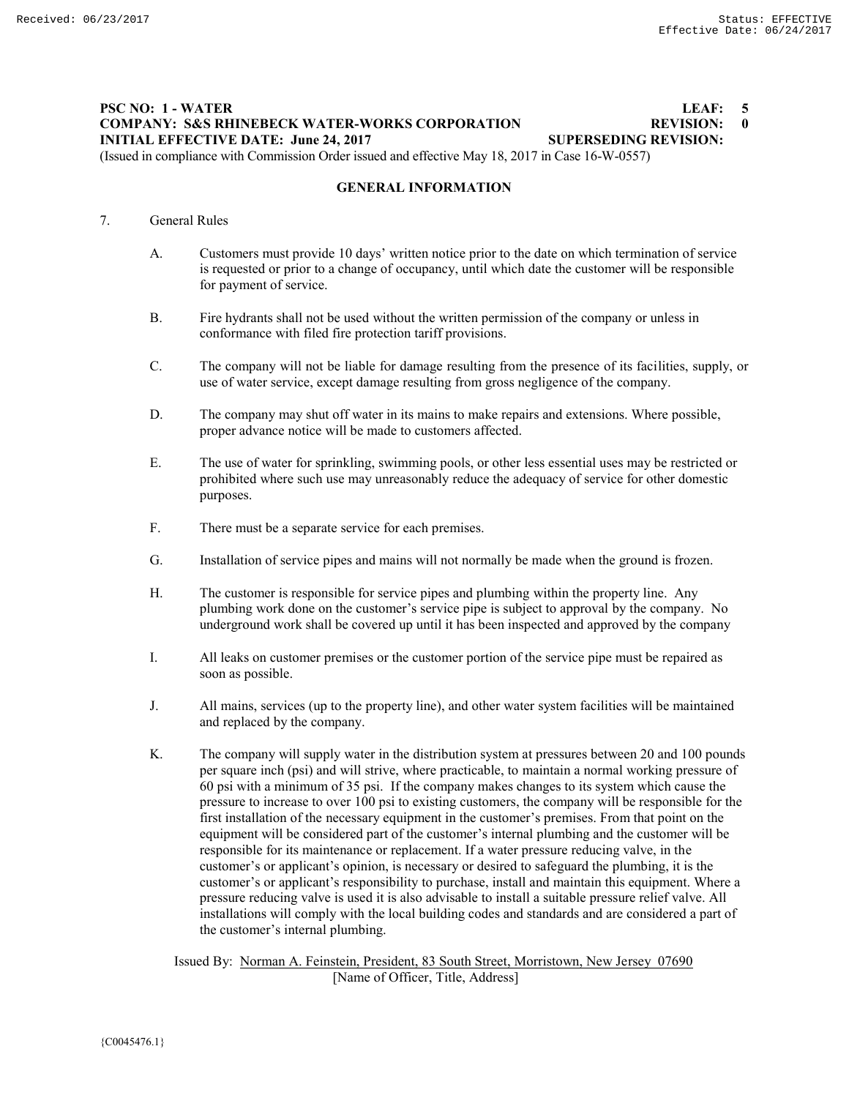# **PSC NO: 1 - WATER LEAF: 5 COMPANY: S&S RHINEBECK WATER-WORKS CORPORATION BEVISION: 0**<br> **INITIAL EFFECTIVE DATE: June 24, 2017 SUPERSEDING REVISION: INITIAL EFFECTIVE DATE: June 24, 2017** (Issued in compliance with Commission Order issued and effective May 18, 2017 in Case 16-W-0557)

**GENERAL INFORMATION**

# 7. General Rules

- A. Customers must provide 10 days' written notice prior to the date on which termination of service is requested or prior to a change of occupancy, until which date the customer will be responsible for payment of service.
- B. Fire hydrants shall not be used without the written permission of the company or unless in conformance with filed fire protection tariff provisions.
- C. The company will not be liable for damage resulting from the presence of its facilities, supply, or use of water service, except damage resulting from gross negligence of the company.
- D. The company may shut off water in its mains to make repairs and extensions. Where possible, proper advance notice will be made to customers affected.
- E. The use of water for sprinkling, swimming pools, or other less essential uses may be restricted or prohibited where such use may unreasonably reduce the adequacy of service for other domestic purposes.
- F. There must be a separate service for each premises.
- G. Installation of service pipes and mains will not normally be made when the ground is frozen.
- H. The customer is responsible for service pipes and plumbing within the property line. Any plumbing work done on the customer's service pipe is subject to approval by the company. No underground work shall be covered up until it has been inspected and approved by the company
- I. All leaks on customer premises or the customer portion of the service pipe must be repaired as soon as possible.
- J. All mains, services (up to the property line), and other water system facilities will be maintained and replaced by the company.
- K. The company will supply water in the distribution system at pressures between 20 and 100 pounds per square inch (psi) and will strive, where practicable, to maintain a normal working pressure of 60 psi with a minimum of 35 psi. If the company makes changes to its system which cause the pressure to increase to over 100 psi to existing customers, the company will be responsible for the first installation of the necessary equipment in the customer's premises. From that point on the equipment will be considered part of the customer's internal plumbing and the customer will be responsible for its maintenance or replacement. If a water pressure reducing valve, in the customer's or applicant's opinion, is necessary or desired to safeguard the plumbing, it is the customer's or applicant's responsibility to purchase, install and maintain this equipment. Where a pressure reducing valve is used it is also advisable to install a suitable pressure relief valve. All installations will comply with the local building codes and standards and are considered a part of the customer's internal plumbing.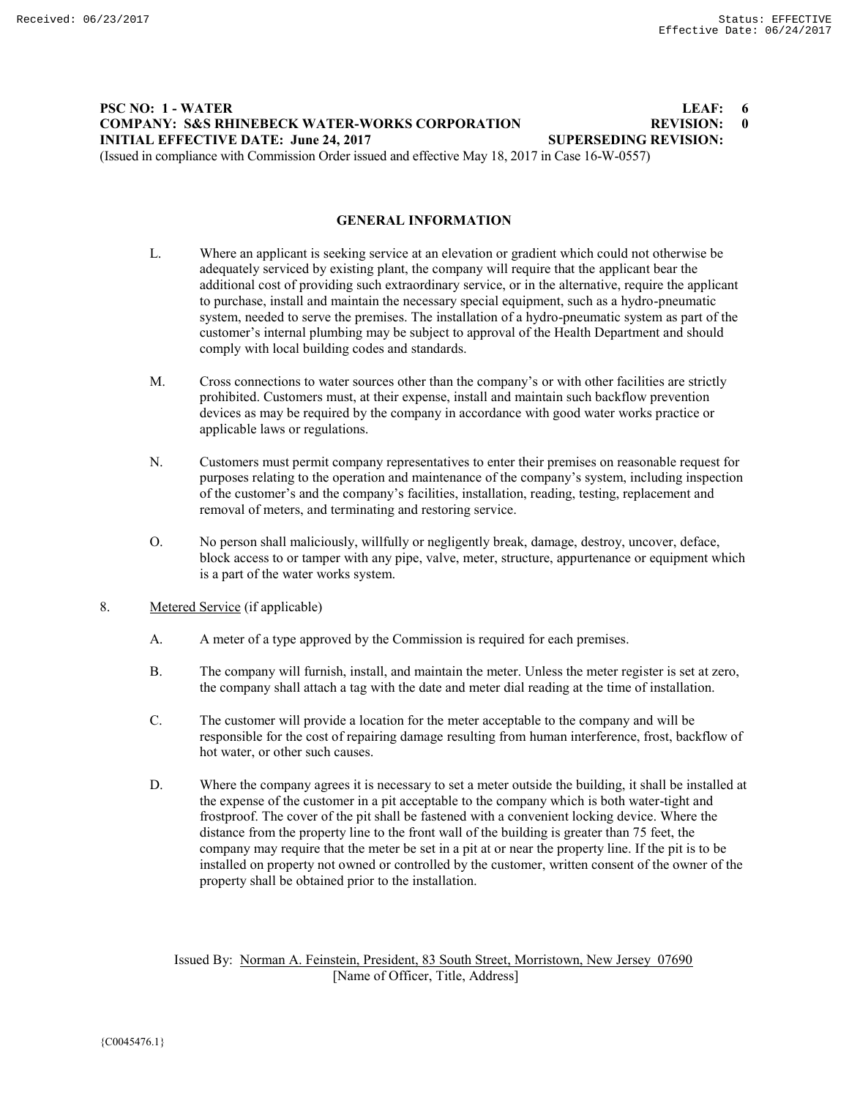# **PSC NO: 1 - WATER LEAF: 6 COMPANY: S&S RHINEBECK WATER-WORKS CORPORATION REVISION: 0 INITIAL EFFECTIVE DATE: June 24, 2017 SUPERSEDING REVISION:** (Issued in compliance with Commission Order issued and effective May 18, 2017 in Case 16-W-0557)

**GENERAL INFORMATION**

- L. Where an applicant is seeking service at an elevation or gradient which could not otherwise be adequately serviced by existing plant, the company will require that the applicant bear the additional cost of providing such extraordinary service, or in the alternative, require the applicant to purchase, install and maintain the necessary special equipment, such as a hydro-pneumatic system, needed to serve the premises. The installation of a hydro-pneumatic system as part of the customer's internal plumbing may be subject to approval of the Health Department and should comply with local building codes and standards.
- M. Cross connections to water sources other than the company's or with other facilities are strictly prohibited. Customers must, at their expense, install and maintain such backflow prevention devices as may be required by the company in accordance with good water works practice or applicable laws or regulations.
- N. Customers must permit company representatives to enter their premises on reasonable request for purposes relating to the operation and maintenance of the company's system, including inspection of the customer's and the company's facilities, installation, reading, testing, replacement and removal of meters, and terminating and restoring service.
- O. No person shall maliciously, willfully or negligently break, damage, destroy, uncover, deface, block access to or tamper with any pipe, valve, meter, structure, appurtenance or equipment which is a part of the water works system.
- 8. Metered Service (if applicable)
	- A. A meter of a type approved by the Commission is required for each premises.
	- B. The company will furnish, install, and maintain the meter. Unless the meter register is set at zero, the company shall attach a tag with the date and meter dial reading at the time of installation.
	- C. The customer will provide a location for the meter acceptable to the company and will be responsible for the cost of repairing damage resulting from human interference, frost, backflow of hot water, or other such causes.
	- D. Where the company agrees it is necessary to set a meter outside the building, it shall be installed at the expense of the customer in a pit acceptable to the company which is both water-tight and frostproof. The cover of the pit shall be fastened with a convenient locking device. Where the distance from the property line to the front wall of the building is greater than 75 feet, the company may require that the meter be set in a pit at or near the property line. If the pit is to be installed on property not owned or controlled by the customer, written consent of the owner of the property shall be obtained prior to the installation.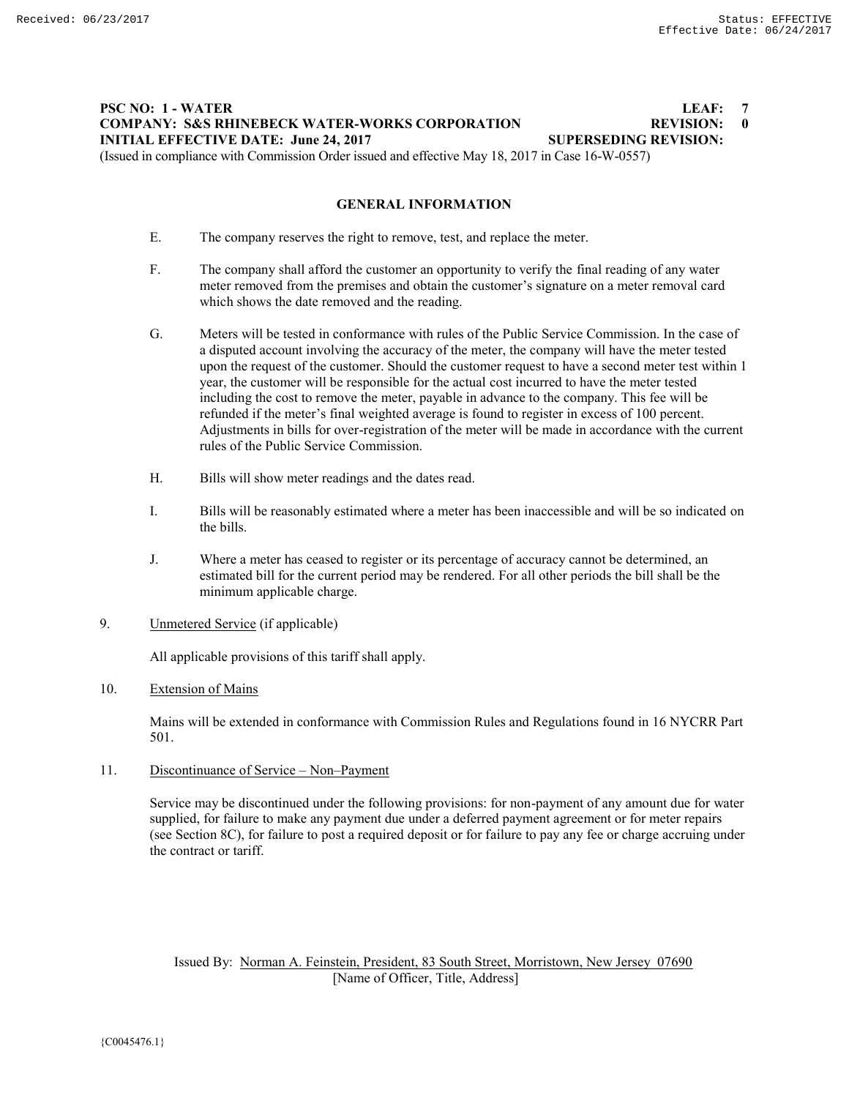# **PSC NO: 1 - WATER LEAF: 7 COMPANY: S&S RHINEBECK WATER-WORKS CORPORATION REVISION: 0 INITIAL EFFECTIVE DATE: June 24, 2017 SUPERSEDING REVISION:**

(Issued in compliance with Commission Order issued and effective May 18, 2017 in Case 16-W-0557)

# **GENERAL INFORMATION**

- E. The company reserves the right to remove, test, and replace the meter.
- F. The company shall afford the customer an opportunity to verify the final reading of any water meter removed from the premises and obtain the customer's signature on a meter removal card which shows the date removed and the reading.
- G. Meters will be tested in conformance with rules of the Public Service Commission. In the case of a disputed account involving the accuracy of the meter, the company will have the meter tested upon the request of the customer. Should the customer request to have a second meter test within 1 year, the customer will be responsible for the actual cost incurred to have the meter tested including the cost to remove the meter, payable in advance to the company. This fee will be refunded if the meter's final weighted average is found to register in excess of 100 percent. Adjustments in bills for over-registration of the meter will be made in accordance with the current rules of the Public Service Commission.
- H. Bills will show meter readings and the dates read.
- I. Bills will be reasonably estimated where a meter has been inaccessible and will be so indicated on the bills.
- J. Where a meter has ceased to register or its percentage of accuracy cannot be determined, an estimated bill for the current period may be rendered. For all other periods the bill shall be the minimum applicable charge.
- 9. Unmetered Service (if applicable)

All applicable provisions of this tariff shall apply.

# 10. Extension of Mains

Mains will be extended in conformance with Commission Rules and Regulations found in 16 NYCRR Part 501.

11. Discontinuance of Service – Non–Payment

Service may be discontinued under the following provisions: for non-payment of any amount due for water supplied, for failure to make any payment due under a deferred payment agreement or for meter repairs (see Section 8C), for failure to post a required deposit or for failure to pay any fee or charge accruing under the contract or tariff.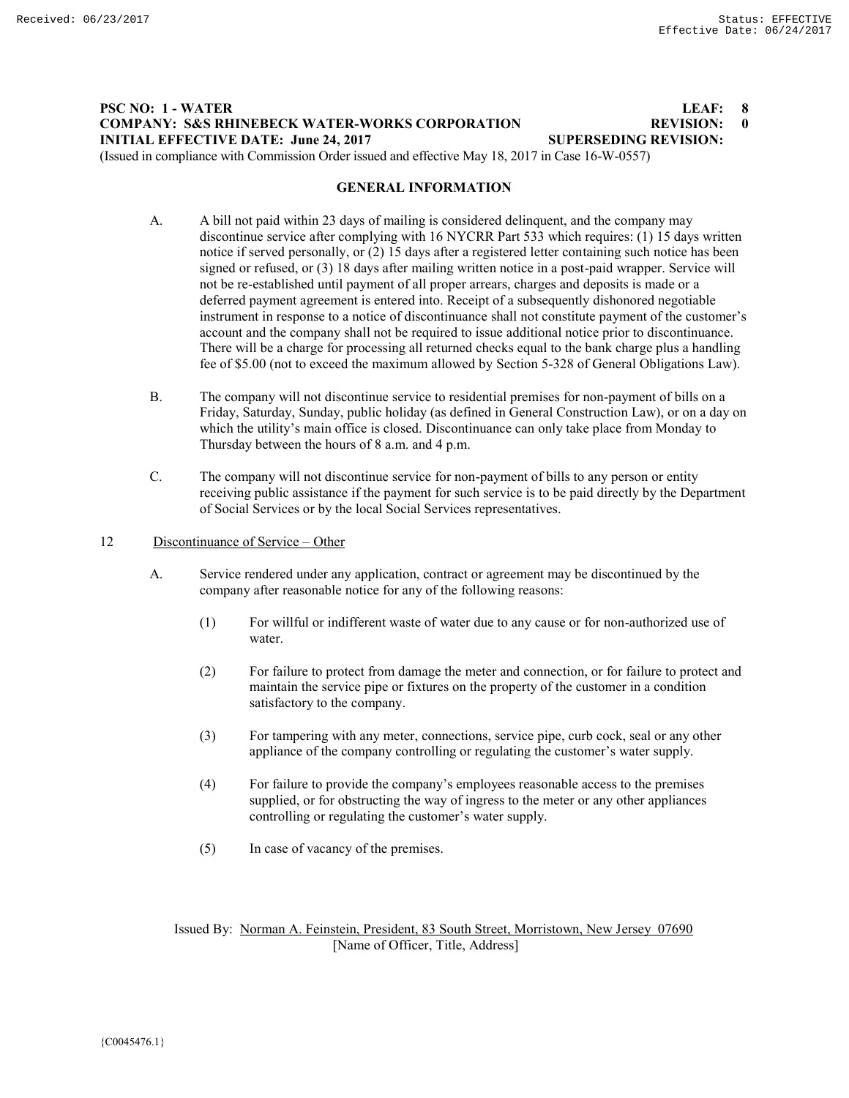# **PSC NO: 1 - WATER LEAF: 8 COMPANY: S&S RHINEBECK WATER-WORKS CORPORATION BEVISION: 0**<br> **INITIAL EFFECTIVE DATE: June 24, 2017 SUPERSEDING REVISION: INITIAL EFFECTIVE DATE: June 24, 2017** (Issued in compliance with Commission Order issued and effective May 18, 2017 in Case 16-W-0557)

#### **GENERAL INFORMATION**

- A. A bill not paid within 23 days of mailing is considered delinquent, and the company may discontinue service after complying with 16 NYCRR Part 533 which requires: (1) 15 days written notice if served personally, or (2) 15 days after a registered letter containing such notice has been signed or refused, or (3) 18 days after mailing written notice in a post-paid wrapper. Service will not be re-established until payment of all proper arrears, charges and deposits is made or a deferred payment agreement is entered into. Receipt of a subsequently dishonored negotiable instrument in response to a notice of discontinuance shall not constitute payment of the customer's account and the company shall not be required to issue additional notice prior to discontinuance. There will be a charge for processing all returned checks equal to the bank charge plus a handling fee of \$5.00 (not to exceed the maximum allowed by Section 5-328 of General Obligations Law).
- B. The company will not discontinue service to residential premises for non-payment of bills on a Friday, Saturday, Sunday, public holiday (as defined in General Construction Law), or on a day on which the utility's main office is closed. Discontinuance can only take place from Monday to Thursday between the hours of 8 a.m. and 4 p.m.
- C. The company will not discontinue service for non-payment of bills to any person or entity receiving public assistance if the payment for such service is to be paid directly by the Department of Social Services or by the local Social Services representatives.
- 12 Discontinuance of Service Other
	- A. Service rendered under any application, contract or agreement may be discontinued by the company after reasonable notice for any of the following reasons:
		- (1) For willful or indifferent waste of water due to any cause or for non-authorized use of water.
		- (2) For failure to protect from damage the meter and connection, or for failure to protect and maintain the service pipe or fixtures on the property of the customer in a condition satisfactory to the company.
		- (3) For tampering with any meter, connections, service pipe, curb cock, seal or any other appliance of the company controlling or regulating the customer's water supply.
		- (4) For failure to provide the company's employees reasonable access to the premises supplied, or for obstructing the way of ingress to the meter or any other appliances controlling or regulating the customer's water supply.
		- (5) In case of vacancy of the premises.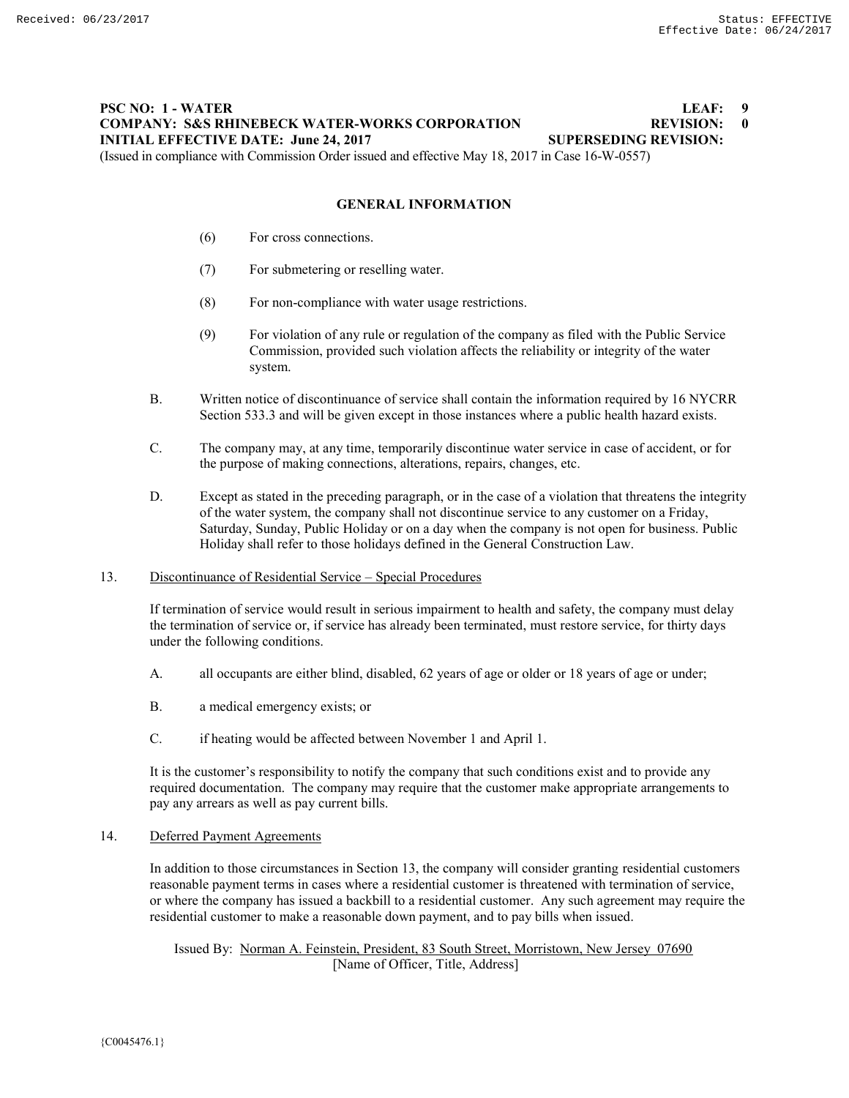# **PSC NO: 1 - WATER LEAF: 9 COMPANY: S&S RHINEBECK WATER-WORKS CORPORATION REVISION: 0 INITIAL EFFECTIVE DATE: June 24, 2017 SUPERSEDING REVISION:**

(Issued in compliance with Commission Order issued and effective May 18, 2017 in Case 16-W-0557)

# **GENERAL INFORMATION**

- (6) For cross connections.
- (7) For submetering or reselling water.
- (8) For non-compliance with water usage restrictions.
- (9) For violation of any rule or regulation of the company as filed with the Public Service Commission, provided such violation affects the reliability or integrity of the water system.
- B. Written notice of discontinuance of service shall contain the information required by 16 NYCRR Section 533.3 and will be given except in those instances where a public health hazard exists.
- C. The company may, at any time, temporarily discontinue water service in case of accident, or for the purpose of making connections, alterations, repairs, changes, etc.
- D. Except as stated in the preceding paragraph, or in the case of a violation that threatens the integrity of the water system, the company shall not discontinue service to any customer on a Friday, Saturday, Sunday, Public Holiday or on a day when the company is not open for business. Public Holiday shall refer to those holidays defined in the General Construction Law.

#### 13. Discontinuance of Residential Service – Special Procedures

If termination of service would result in serious impairment to health and safety, the company must delay the termination of service or, if service has already been terminated, must restore service, for thirty days under the following conditions.

- A. all occupants are either blind, disabled, 62 years of age or older or 18 years of age or under;
- B. a medical emergency exists; or
- C. if heating would be affected between November 1 and April 1.

It is the customer's responsibility to notify the company that such conditions exist and to provide any required documentation. The company may require that the customer make appropriate arrangements to pay any arrears as well as pay current bills.

#### 14. Deferred Payment Agreements

In addition to those circumstances in Section 13, the company will consider granting residential customers reasonable payment terms in cases where a residential customer is threatened with termination of service, or where the company has issued a backbill to a residential customer. Any such agreement may require the residential customer to make a reasonable down payment, and to pay bills when issued.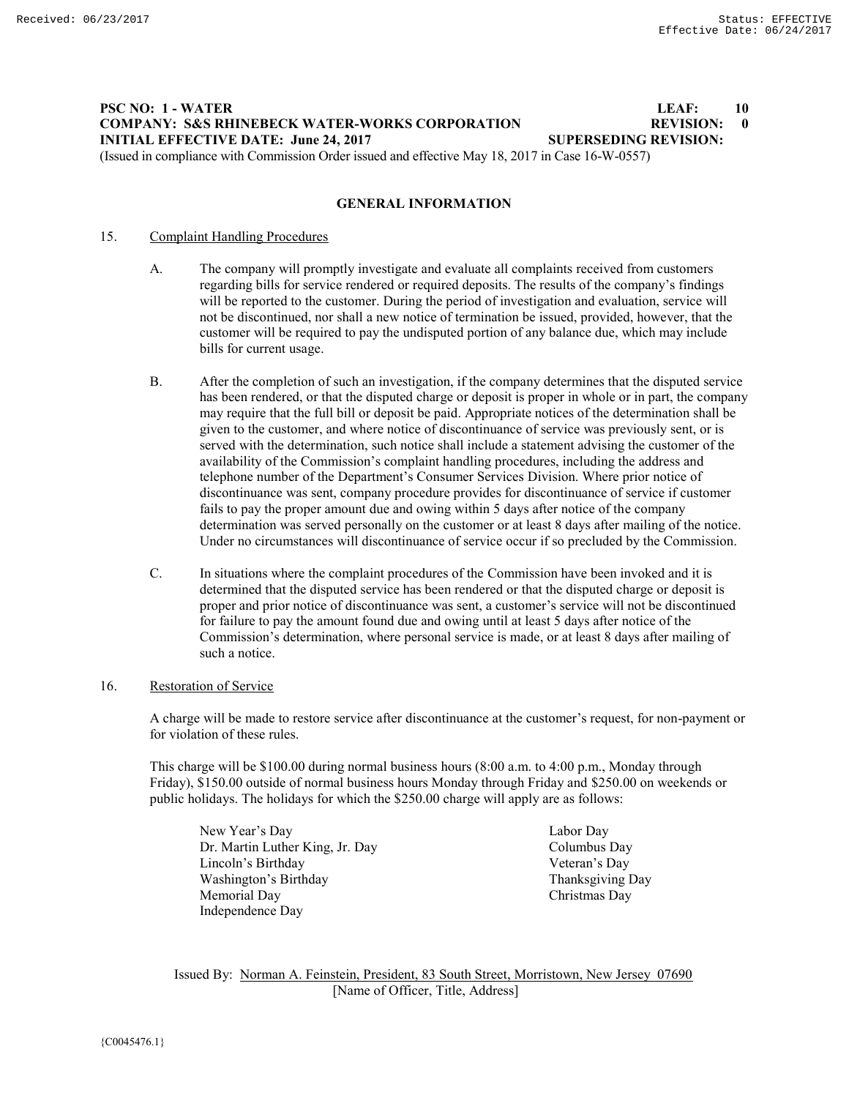## **PSC NO: 1 - WATER LEAF: 10 COMPANY: S&S RHINEBECK WATER-WORKS CORPORATION REVISION: 0 INITIAL EFFECTIVE DATE: June 24, 2017 SUPERSEDING REVISION:** (Issued in compliance with Commission Order issued and effective May 18, 2017 in Case 16-W-0557)

**GENERAL INFORMATION**

#### 15. Complaint Handling Procedures

- A. The company will promptly investigate and evaluate all complaints received from customers regarding bills for service rendered or required deposits. The results of the company's findings will be reported to the customer. During the period of investigation and evaluation, service will not be discontinued, nor shall a new notice of termination be issued, provided, however, that the customer will be required to pay the undisputed portion of any balance due, which may include bills for current usage.
- B. After the completion of such an investigation, if the company determines that the disputed service has been rendered, or that the disputed charge or deposit is proper in whole or in part, the company may require that the full bill or deposit be paid. Appropriate notices of the determination shall be given to the customer, and where notice of discontinuance of service was previously sent, or is served with the determination, such notice shall include a statement advising the customer of the availability of the Commission's complaint handling procedures, including the address and telephone number of the Department's Consumer Services Division. Where prior notice of discontinuance was sent, company procedure provides for discontinuance of service if customer fails to pay the proper amount due and owing within 5 days after notice of the company determination was served personally on the customer or at least 8 days after mailing of the notice. Under no circumstances will discontinuance of service occur if so precluded by the Commission.
- C. In situations where the complaint procedures of the Commission have been invoked and it is determined that the disputed service has been rendered or that the disputed charge or deposit is proper and prior notice of discontinuance was sent, a customer's service will not be discontinued for failure to pay the amount found due and owing until at least 5 days after notice of the Commission's determination, where personal service is made, or at least 8 days after mailing of such a notice.

#### 16. Restoration of Service

A charge will be made to restore service after discontinuance at the customer's request, for non-payment or for violation of these rules.

This charge will be \$100.00 during normal business hours (8:00 a.m. to 4:00 p.m., Monday through Friday), \$150.00 outside of normal business hours Monday through Friday and \$250.00 on weekends or public holidays. The holidays for which the \$250.00 charge will apply are as follows:

New Year's Day Labor Day Dr. Martin Luther King, Jr. Day Columbus Day Lincoln's Birthday Veteran's Day Washington's Birthday Thanksgiving Day Memorial Day Christmas Day Independence Day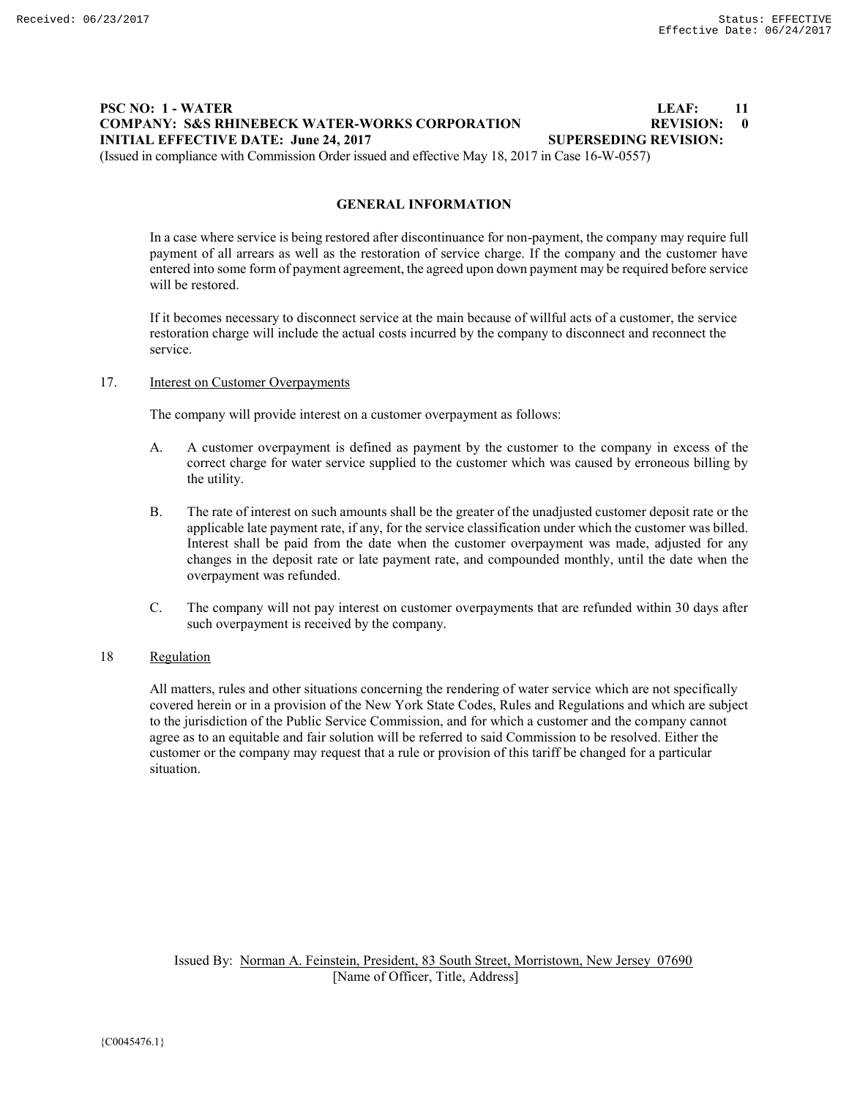# **PSC NO: 1 - WATER LEAF: 11 COMPANY: S&S RHINEBECK WATER-WORKS CORPORATION REVISION: 0 INITIAL EFFECTIVE DATE: June 24, 2017 SUPERSEDING REVISION:** (Issued in compliance with Commission Order issued and effective May 18, 2017 in Case 16-W-0557)

**GENERAL INFORMATION**

In a case where service is being restored after discontinuance for non-payment, the company may require full payment of all arrears as well as the restoration of service charge. If the company and the customer have entered into some form of payment agreement, the agreed upon down payment may be required before service will be restored.

If it becomes necessary to disconnect service at the main because of willful acts of a customer, the service restoration charge will include the actual costs incurred by the company to disconnect and reconnect the service.

#### 17. **Interest on Customer Overpayments**

The company will provide interest on a customer overpayment as follows:

- A. A customer overpayment is defined as payment by the customer to the company in excess of the correct charge for water service supplied to the customer which was caused by erroneous billing by the utility.
- B. The rate of interest on such amounts shall be the greater of the unadjusted customer deposit rate or the applicable late payment rate, if any, for the service classification under which the customer was billed. Interest shall be paid from the date when the customer overpayment was made, adjusted for any changes in the deposit rate or late payment rate, and compounded monthly, until the date when the overpayment was refunded.
- C. The company will not pay interest on customer overpayments that are refunded within 30 days after such overpayment is received by the company.

## 18 Regulation

All matters, rules and other situations concerning the rendering of water service which are not specifically covered herein or in a provision of the New York State Codes, Rules and Regulations and which are subject to the jurisdiction of the Public Service Commission, and for which a customer and the company cannot agree as to an equitable and fair solution will be referred to said Commission to be resolved. Either the customer or the company may request that a rule or provision of this tariff be changed for a particular situation.